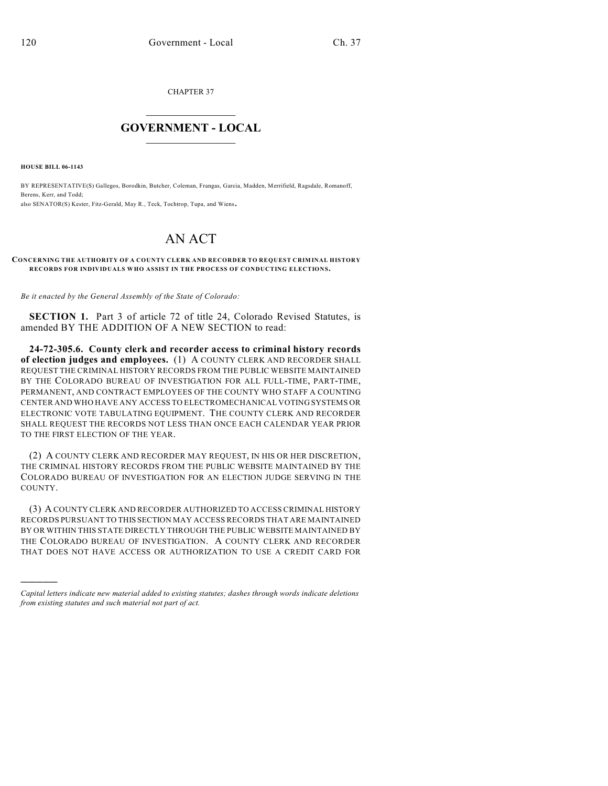CHAPTER 37

## $\mathcal{L}_\text{max}$  . The set of the set of the set of the set of the set of the set of the set of the set of the set of the set of the set of the set of the set of the set of the set of the set of the set of the set of the set **GOVERNMENT - LOCAL**  $\_$

**HOUSE BILL 06-1143**

)))))

BY REPRESENTATIVE(S) Gallegos, Borodkin, Butcher, Coleman, Frangas, Garcia, Madden, Merrifield, Ragsdale, Romanoff, Berens, Kerr, and Todd; also SENATOR(S) Kester, Fitz-Gerald, May R., Teck, Tochtrop, Tupa, and Wiens.

## AN ACT

## **CONCERNING THE AUTHORITY OF A COUNTY CLERK AND RECORDER TO REQUEST CRIMINAL HISTORY RECORDS FOR INDIVIDUALS WHO ASSIST IN THE PROCESS OF CONDUCTING ELECTIONS.**

*Be it enacted by the General Assembly of the State of Colorado:*

**SECTION 1.** Part 3 of article 72 of title 24, Colorado Revised Statutes, is amended BY THE ADDITION OF A NEW SECTION to read:

**24-72-305.6. County clerk and recorder access to criminal history records of election judges and employees.** (1) A COUNTY CLERK AND RECORDER SHALL REQUEST THE CRIMINAL HISTORY RECORDS FROM THE PUBLIC WEBSITE MAINTAINED BY THE COLORADO BUREAU OF INVESTIGATION FOR ALL FULL-TIME, PART-TIME, PERMANENT, AND CONTRACT EMPLOYEES OF THE COUNTY WHO STAFF A COUNTING CENTER AND WHO HAVE ANY ACCESS TO ELECTROMECHANICAL VOTING SYSTEMS OR ELECTRONIC VOTE TABULATING EQUIPMENT. THE COUNTY CLERK AND RECORDER SHALL REQUEST THE RECORDS NOT LESS THAN ONCE EACH CALENDAR YEAR PRIOR TO THE FIRST ELECTION OF THE YEAR.

(2) A COUNTY CLERK AND RECORDER MAY REQUEST, IN HIS OR HER DISCRETION, THE CRIMINAL HISTORY RECORDS FROM THE PUBLIC WEBSITE MAINTAINED BY THE COLORADO BUREAU OF INVESTIGATION FOR AN ELECTION JUDGE SERVING IN THE COUNTY.

(3) A COUNTY CLERK AND RECORDER AUTHORIZED TO ACCESS CRIMINAL HISTORY RECORDS PURSUANT TO THIS SECTION MAY ACCESS RECORDS THAT ARE MAINTAINED BY OR WITHIN THIS STATE DIRECTLY THROUGH THE PUBLIC WEBSITE MAINTAINED BY THE COLORADO BUREAU OF INVESTIGATION. A COUNTY CLERK AND RECORDER THAT DOES NOT HAVE ACCESS OR AUTHORIZATION TO USE A CREDIT CARD FOR

*Capital letters indicate new material added to existing statutes; dashes through words indicate deletions from existing statutes and such material not part of act.*